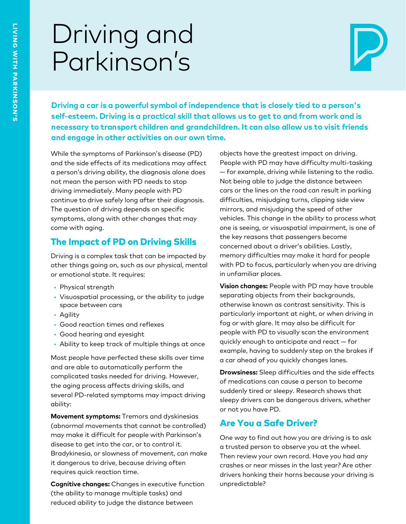# Driving and Parkinson's



Driving a car is a powerful symbol of independence that is closely tied to a person's<br>self-esteem. Driving is a practical skill that allows us to get to and from work and is<br>necessary to transport children and grandchildre

While the symptoms of Parkinson's disease (PD) and the side effects of its medications may affect a person's driving ability, the diagnosis alone does not mean the person with PD needs to stop driving immediately. Many people with PD continue to drive safely long after their diagnosis. The question of driving depends on specific symptoms, along with other changes that may come with aging.

# The Impact of PD on Driving Skills

Driving is a complex task that can be impacted by other things going on, such as our physical, mental or emotional state. It requires:

- Physical strength
- Visuospatial processing, or the ability to judge space between cars
- Agility
- Good reaction times and reflexes
- Good hearing and eyesight
- Ability to keep track of multiple things at once

Most people have perfected these skills over time and are able to automatically perform the complicated tasks needed for driving. However, the aging process affects driving skills, and several PD-related symptoms may impact driving ability:

**Movement symptoms:** Tremors and dyskinesias (abnormal movements that cannot be controlled) may make it difficult for people with Parkinson's disease to get into the car, or to control it. Bradykinesia, or slowness of movement, can make it dangerous to drive, because driving often requires quick reaction time.

**Cognitive changes:** Changes in executive function (the ability to manage multiple tasks) and reduced ability to judge the distance between

objects have the greatest impact on driving. People with PD may have difficulty multi-tasking — for example, driving while listening to the radio. Not being able to judge the distance between cars or the lines on the road can result in parking difficulties, misjudging turns, clipping side view mirrors, and misjudging the speed of other vehicles. This change in the ability to process what one is seeing, or visuospatial impairment, is one of the key reasons that passengers become concerned about a driver's abilities. Lastly, memory difficulties may make it hard for people with PD to focus, particularly when you are driving in unfamiliar places.

**Vision changes:** People with PD may have trouble separating objects from their backgrounds, otherwise known as contrast sensitivity. This is particularly important at night, or when driving in fog or with glare. It may also be difficult for people with PD to visually scan the environment quickly enough to anticipate and react — for example, having to suddenly step on the brakes if a car ahead of you quickly changes lanes.

**Drowsiness:** Sleep difficulties and the side effects of medications can cause a person to become suddenly tired or sleepy. Research shows that sleepy drivers can be dangerous drivers, whether or not you have PD.

## Are You a Safe Driver?

One way to find out how you are driving is to ask a trusted person to observe you at the wheel. Then review your own record. Have you had any crashes or near misses in the last year? Are other drivers honking their horns because your driving is unpredictable?